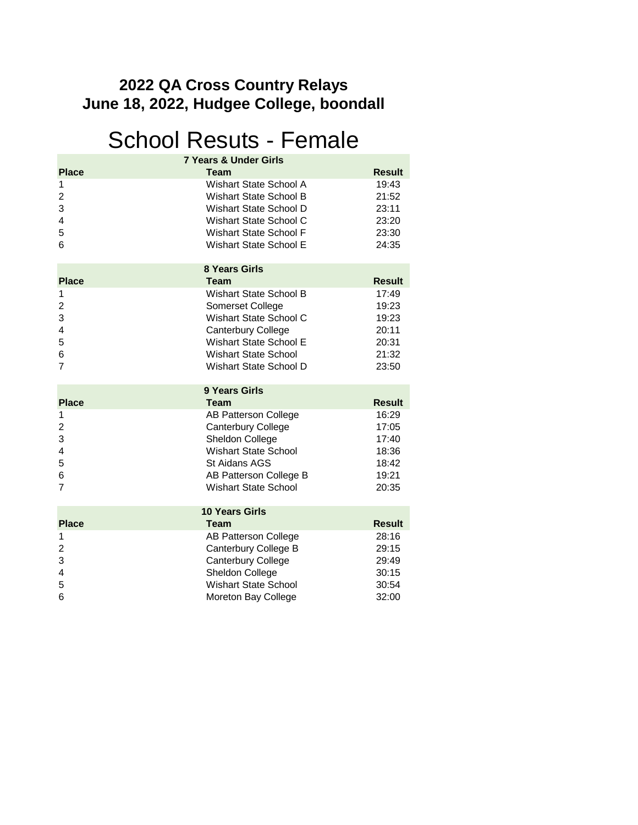#### **June 18, 2022, Hudgee College, boondall 2022 QA Cross Country Relays**

### School Resuts - Female

|                                                              | <b>7 Years &amp; Under Girls</b>                                                                                                                                                                                  |                                                                              |
|--------------------------------------------------------------|-------------------------------------------------------------------------------------------------------------------------------------------------------------------------------------------------------------------|------------------------------------------------------------------------------|
| <b>Place</b><br>1<br>$\overline{c}$<br>3<br>4<br>5<br>6      | <b>Team</b><br><b>Wishart State School A</b><br><b>Wishart State School B</b><br>Wishart State School D<br>Wishart State School C<br><b>Wishart State School F</b><br><b>Wishart State School E</b>               | <b>Result</b><br>19:43<br>21:52<br>23:11<br>23:20<br>23:30<br>24:35          |
|                                                              | <b>8 Years Girls</b>                                                                                                                                                                                              |                                                                              |
| <b>Place</b><br>1<br>$\overline{2}$<br>3<br>4<br>5<br>6<br>7 | <b>Team</b><br><b>Wishart State School B</b><br>Somerset College<br>Wishart State School C<br><b>Canterbury College</b><br><b>Wishart State School E</b><br><b>Wishart State School</b><br>Wishart State School D | <b>Result</b><br>17:49<br>19:23<br>19:23<br>20:11<br>20:31<br>21:32<br>23:50 |
|                                                              | 9 Years Girls                                                                                                                                                                                                     |                                                                              |
| <b>Place</b><br>1<br>2<br>3<br>4<br>5<br>6<br>7              | <b>Team</b><br><b>AB Patterson College</b><br><b>Canterbury College</b><br>Sheldon College<br><b>Wishart State School</b><br>St Aidans AGS<br>AB Patterson College B<br><b>Wishart State School</b>               | Result<br>16:29<br>17:05<br>17:40<br>18:36<br>18:42<br>19:21<br>20:35        |
|                                                              |                                                                                                                                                                                                                   |                                                                              |
| <b>Place</b>                                                 | <b>10 Years Girls</b><br><b>Team</b>                                                                                                                                                                              | Result                                                                       |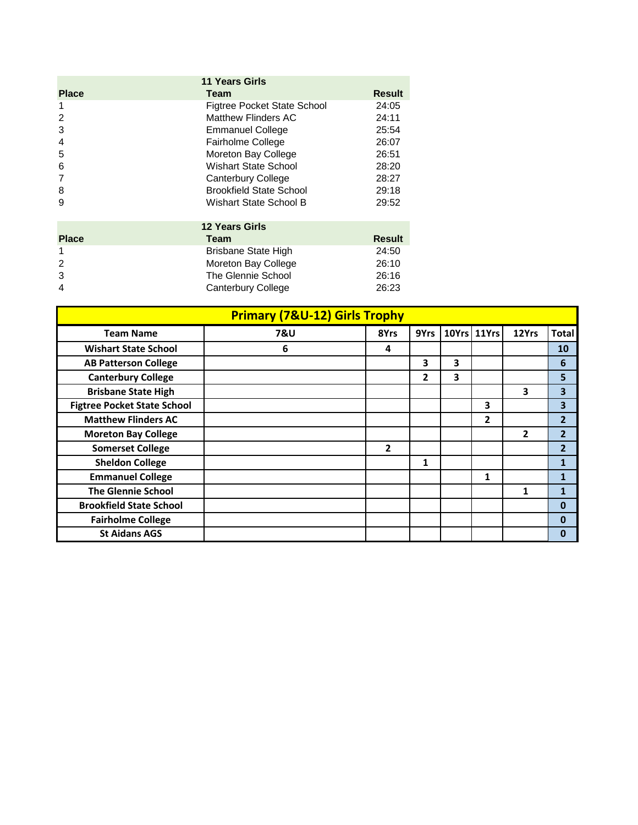| <b>11 Years Girls</b> |                                |               |  |  |
|-----------------------|--------------------------------|---------------|--|--|
| <b>Place</b>          | Team                           | <b>Result</b> |  |  |
|                       | Figtree Pocket State School    | 24:05         |  |  |
| 2                     | Matthew Flinders AC            | 24:11         |  |  |
| 3                     | <b>Emmanuel College</b>        | 25:54         |  |  |
| $\overline{4}$        | Fairholme College              | 26:07         |  |  |
| 5                     | Moreton Bay College            | 26:51         |  |  |
| 6                     | Wishart State School           | 28:20         |  |  |
|                       | Canterbury College             | 28:27         |  |  |
| 8                     | <b>Brookfield State School</b> | 29:18         |  |  |
| 9                     | Wishart State School B         | 29:52         |  |  |
| <b>12 Years Girls</b> |                                |               |  |  |

| <b>Place</b> | Team                | <b>Result</b> |
|--------------|---------------------|---------------|
|              | Brisbane State High | 24:50         |
| 2            | Moreton Bay College | 26:10         |
| 3            | The Glennie School  | 26:16         |
| 4            | Canterbury College  | 26:23         |
|              |                     |               |

| <b>Primary (7&amp;U-12) Girls Trophy</b> |                |      |              |   |             |                |                 |
|------------------------------------------|----------------|------|--------------|---|-------------|----------------|-----------------|
| <b>Team Name</b>                         | <b>7&amp;U</b> | 8Yrs | 9Yrs         |   | 10Yrs 11Yrs | 12Yrs          | <b>Total</b>    |
| <b>Wishart State School</b>              | 6              | 4    |              |   |             |                | 10              |
| <b>AB Patterson College</b>              |                |      | 3            | 3 |             |                | $6\phantom{1}6$ |
| <b>Canterbury College</b>                |                |      | $\mathbf{2}$ | 3 |             |                | 5               |
| <b>Brisbane State High</b>               |                |      |              |   |             | 3              | 3               |
| <b>Figtree Pocket State School</b>       |                |      |              |   | 3           |                | 3               |
| <b>Matthew Flinders AC</b>               |                |      |              |   | 2           |                | $\overline{2}$  |
| <b>Moreton Bay College</b>               |                |      |              |   |             | $\overline{2}$ | $\overline{2}$  |
| <b>Somerset College</b>                  |                | 2    |              |   |             |                | 2               |
| <b>Sheldon College</b>                   |                |      | 1            |   |             |                | $\mathbf{1}$    |
| <b>Emmanuel College</b>                  |                |      |              |   | 1           |                | 1               |
| <b>The Glennie School</b>                |                |      |              |   |             | 1              | 1               |
| <b>Brookfield State School</b>           |                |      |              |   |             |                | 0               |
| <b>Fairholme College</b>                 |                |      |              |   |             |                | $\mathbf 0$     |
| <b>St Aidans AGS</b>                     |                |      |              |   |             |                | 0               |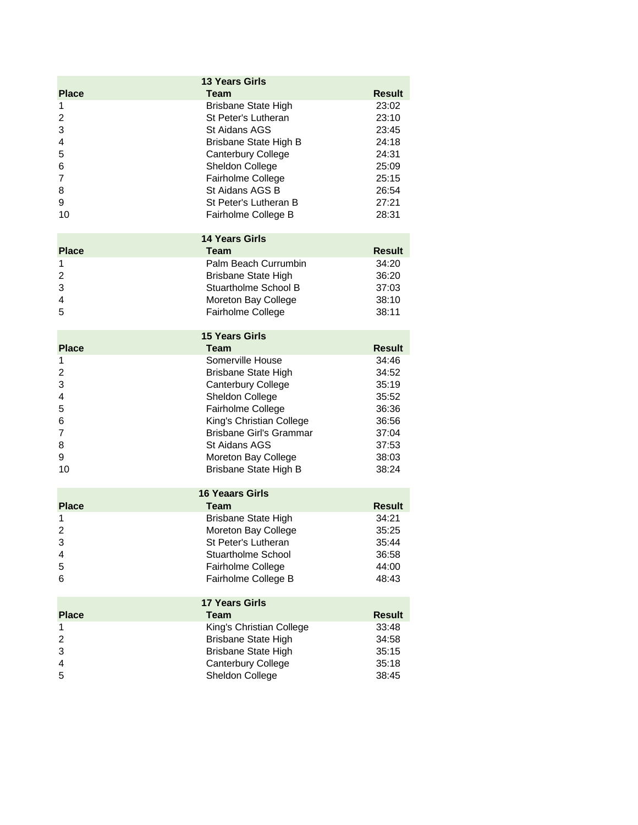|                         | <b>13 Years Girls</b>                                  |                        |
|-------------------------|--------------------------------------------------------|------------------------|
| <b>Place</b>            | <b>Team</b>                                            | <b>Result</b>          |
| 1                       | <b>Brisbane State High</b>                             | 23:02                  |
| $\overline{\mathbf{c}}$ | St Peter's Lutheran                                    | 23:10                  |
| 3                       | St Aidans AGS                                          | 23:45                  |
| 4                       | Brisbane State High B                                  | 24:18                  |
| 5                       | Canterbury College                                     | 24:31                  |
| 6                       | Sheldon College                                        | 25:09                  |
| 7                       | Fairholme College                                      | 25:15                  |
| 8                       | St Aidans AGS B                                        | 26:54                  |
| 9                       | St Peter's Lutheran B                                  | 27:21                  |
| 10                      | Fairholme College B                                    | 28:31                  |
|                         | <b>14 Years Girls</b>                                  |                        |
| <b>Place</b>            | Team                                                   | <b>Result</b>          |
| 1                       | Palm Beach Currumbin                                   | 34:20                  |
| $\overline{c}$          | <b>Brisbane State High</b>                             | 36:20                  |
| 3                       | Stuartholme School B                                   | 37:03                  |
| 4                       | Moreton Bay College                                    | 38:10                  |
| 5                       | Fairholme College                                      | 38:11                  |
|                         | <b>15 Years Girls</b>                                  |                        |
| <b>Place</b>            | Team                                                   | <b>Result</b>          |
| 1                       | Somerville House                                       | 34:46                  |
| $\overline{\mathbf{c}}$ | <b>Brisbane State High</b>                             | 34:52                  |
| 3                       | <b>Canterbury College</b>                              | 35:19                  |
| 4                       | Sheldon College                                        | 35:52                  |
| 5                       | Fairholme College                                      | 36:36                  |
| 6                       | King's Christian College                               | 36:56                  |
| 7                       | <b>Brisbane Girl's Grammar</b>                         | 37:04                  |
| 8<br>9                  | <b>St Aidans AGS</b>                                   | 37:53                  |
| 10                      | Moreton Bay College                                    | 38:03<br>38:24         |
|                         | Brisbane State High B                                  |                        |
|                         | <b>16 Yeaars Girls</b>                                 |                        |
| <b>Place</b>            | <b>Team</b>                                            | <b>Result</b>          |
| 1                       | <b>Brisbane State High</b>                             | 34:21                  |
| $\overline{2}$          | Moreton Bay College                                    | 35:25                  |
| 3                       | St Peter's Lutheran                                    | 35:44                  |
| 4<br>5                  | <b>Stuartholme School</b>                              | 36:58<br>44:00         |
| 6                       | Fairholme College<br>Fairholme College B               | 48:43                  |
|                         |                                                        |                        |
|                         | <b>17 Years Girls</b>                                  |                        |
| <b>Place</b>            | <b>Team</b>                                            | <b>Result</b><br>33:48 |
| 1<br>$\overline{2}$     | King's Christian College<br><b>Brisbane State High</b> | 34:58                  |
| 3                       | <b>Brisbane State High</b>                             | 35:15                  |
| 4                       | Canterbury College                                     | 35:18                  |
| 5                       | Sheldon College                                        | 38:45                  |
|                         |                                                        |                        |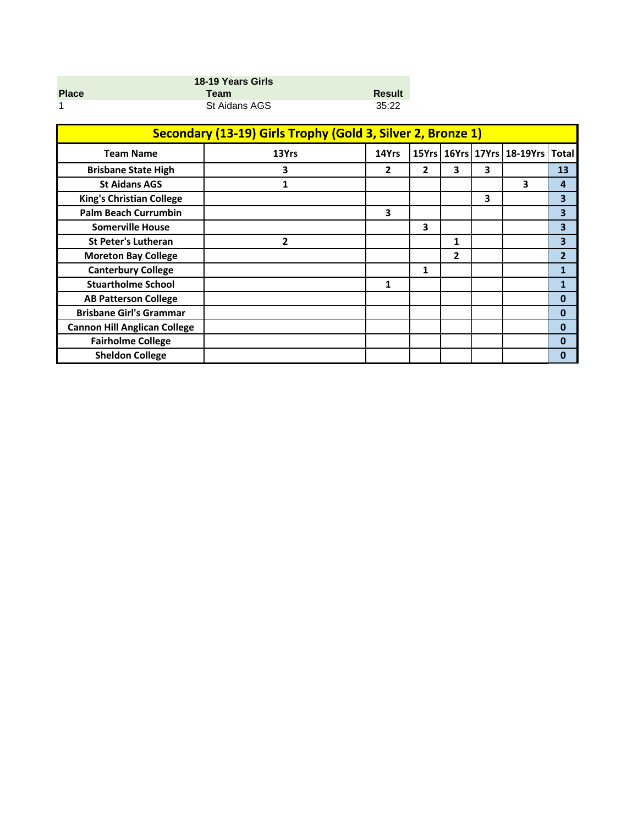| 18-19 Years Girls |               |               |  |  |
|-------------------|---------------|---------------|--|--|
| <b>Place</b>      | Team          | <b>Result</b> |  |  |
|                   | St Aidans AGS | 35:22         |  |  |

| Secondary (13-19) Girls Trophy (Gold 3, Silver 2, Bronze 1) |       |              |   |   |   |                                  |                |
|-------------------------------------------------------------|-------|--------------|---|---|---|----------------------------------|----------------|
| <b>Team Name</b>                                            | 13Yrs | 14Yrs        |   |   |   | 15Yrs   16Yrs   17Yrs   18-19Yrs | <b>Total</b>   |
| <b>Brisbane State High</b>                                  | 3     | $\mathbf{2}$ | 2 | 3 | 3 |                                  | 13             |
| <b>St Aidans AGS</b>                                        | 1     |              |   |   |   | 3                                | 4              |
| <b>King's Christian College</b>                             |       |              |   |   | 3 |                                  | 3              |
| <b>Palm Beach Currumbin</b>                                 |       | 3            |   |   |   |                                  | 3              |
| <b>Somerville House</b>                                     |       |              | 3 |   |   |                                  | 3              |
| <b>St Peter's Lutheran</b>                                  | 2     |              |   | 1 |   |                                  | 3              |
| <b>Moreton Bay College</b>                                  |       |              |   | 2 |   |                                  | $\overline{2}$ |
| <b>Canterbury College</b>                                   |       |              | 1 |   |   |                                  | $\mathbf{1}$   |
| <b>Stuartholme School</b>                                   |       | 1            |   |   |   |                                  | 1              |
| <b>AB Patterson College</b>                                 |       |              |   |   |   |                                  | $\mathbf{0}$   |
| <b>Brisbane Girl's Grammar</b>                              |       |              |   |   |   |                                  | 0              |
| <b>Cannon Hill Anglican College</b>                         |       |              |   |   |   |                                  | 0              |
| <b>Fairholme College</b>                                    |       |              |   |   |   |                                  | 0              |
| <b>Sheldon College</b>                                      |       |              |   |   |   |                                  | 0              |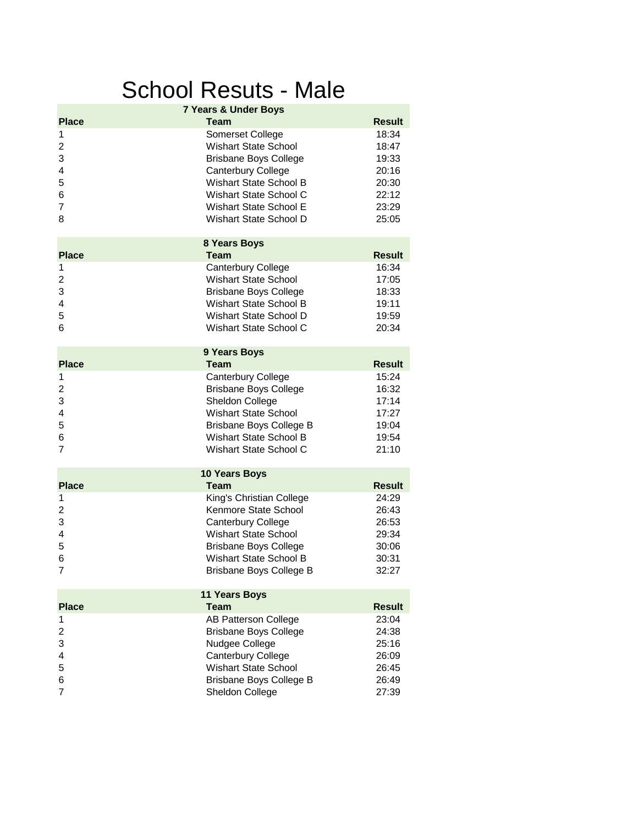## School Resuts - Male

|                                                       | <b>7 Years &amp; Under Boys</b>                                                                                                                                                                               |                                                                      |
|-------------------------------------------------------|---------------------------------------------------------------------------------------------------------------------------------------------------------------------------------------------------------------|----------------------------------------------------------------------|
| <b>Place</b>                                          | Team                                                                                                                                                                                                          | <b>Result</b>                                                        |
| 1<br>2<br>3<br>4<br>5<br>6<br>$\overline{7}$<br>8     | Somerset College<br><b>Wishart State School</b><br><b>Brisbane Boys College</b><br>Canterbury College<br>Wishart State School B<br>Wishart State School C<br>Wishart State School E<br>Wishart State School D | 18:34<br>18:47<br>19:33<br>20:16<br>20:30<br>22:12<br>23:29<br>25:05 |
|                                                       | 8 Years Boys                                                                                                                                                                                                  |                                                                      |
| <b>Place</b>                                          | <b>Team</b>                                                                                                                                                                                                   | <b>Result</b>                                                        |
| 1<br>$\overline{\mathbf{c}}$<br>3<br>4<br>5<br>6      | Canterbury College<br><b>Wishart State School</b><br><b>Brisbane Boys College</b><br><b>Wishart State School B</b><br>Wishart State School D<br>Wishart State School C                                        | 16:34<br>17:05<br>18:33<br>19:11<br>19:59<br>20:34                   |
|                                                       | 9 Years Boys                                                                                                                                                                                                  |                                                                      |
| <b>Place</b>                                          | <b>Team</b>                                                                                                                                                                                                   | <b>Result</b>                                                        |
| 1<br>$\overline{c}$<br>3<br>4<br>5<br>6<br>7          | Canterbury College<br><b>Brisbane Boys College</b><br>Sheldon College<br><b>Wishart State School</b><br>Brisbane Boys College B<br>Wishart State School B<br>Wishart State School C                           | 15:24<br>16:32<br>17:14<br>17:27<br>19:04<br>19:54<br>21:10          |
|                                                       | <b>10 Years Boys</b>                                                                                                                                                                                          |                                                                      |
| <b>Place</b>                                          | Team                                                                                                                                                                                                          | <b>Result</b>                                                        |
| 1<br>$\overline{\mathbf{c}}$<br>3<br>4<br>5<br>6<br>7 | King's Christian College<br>Kenmore State School<br>Canterbury College<br><b>Wishart State School</b><br><b>Brisbane Boys College</b><br>Wishart State School B<br>Brisbane Boys College B                    | 24:29<br>26:43<br>26:53<br>29:34<br>30:06<br>30:31<br>32:27          |
| <b>Place</b>                                          | <b>11 Years Boys</b><br><b>Team</b>                                                                                                                                                                           | <b>Result</b>                                                        |
| 1                                                     | <b>AB Patterson College</b>                                                                                                                                                                                   | 23:04                                                                |
| 2<br>3<br>4<br>5<br>6<br>7                            | <b>Brisbane Boys College</b><br>Nudgee College<br>Canterbury College<br><b>Wishart State School</b><br>Brisbane Boys College B<br>Sheldon College                                                             | 24:38<br>25:16<br>26:09<br>26:45<br>26:49<br>27:39                   |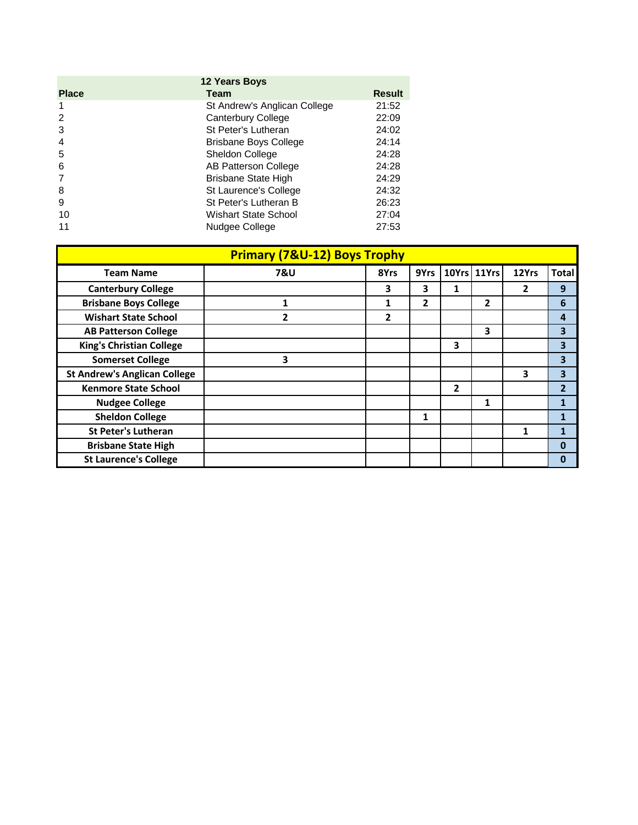| <b>12 Years Boys</b> |                              |               |  |  |
|----------------------|------------------------------|---------------|--|--|
| <b>Place</b>         | Team                         | <b>Result</b> |  |  |
|                      | St Andrew's Anglican College | 21:52         |  |  |
| $\mathcal{P}$        | Canterbury College           | 22:09         |  |  |
| 3                    | St Peter's Lutheran          | 24:02         |  |  |
| $\overline{4}$       | <b>Brisbane Boys College</b> | 24:14         |  |  |
| 5                    | <b>Sheldon College</b>       | 24:28         |  |  |
| 6                    | AB Patterson College         | 24:28         |  |  |
|                      | <b>Brisbane State High</b>   | 24:29         |  |  |
| 8                    | St Laurence's College        | 24:32         |  |  |
| 9                    | St Peter's Lutheran B        | 26:23         |  |  |
| 10                   | Wishart State School         | 27:04         |  |  |
| 11                   | Nudgee College               | 27:53         |  |  |

| <b>Primary (7&amp;U-12) Boys Trophy</b> |                |                |      |                |             |       |                |
|-----------------------------------------|----------------|----------------|------|----------------|-------------|-------|----------------|
| <b>Team Name</b>                        | 7&U            | 8Yrs           | 9Yrs |                | 10Yrs 11Yrs | 12Yrs | <b>Total</b>   |
| <b>Canterbury College</b>               |                | 3              | 3    | 1              |             | 2     | 9              |
| <b>Brisbane Boys College</b>            |                | 1              | 2    |                | 2           |       | 6              |
| <b>Wishart State School</b>             | $\overline{2}$ | $\overline{2}$ |      |                |             |       | 4              |
| <b>AB Patterson College</b>             |                |                |      |                | 3           |       | 3              |
| <b>King's Christian College</b>         |                |                |      | 3              |             |       | 3              |
| <b>Somerset College</b>                 | 3              |                |      |                |             |       | 3              |
| <b>St Andrew's Anglican College</b>     |                |                |      |                |             | 3     | 3              |
| <b>Kenmore State School</b>             |                |                |      | $\overline{2}$ |             |       | $\overline{2}$ |
| <b>Nudgee College</b>                   |                |                |      |                | 1           |       | 1              |
| <b>Sheldon College</b>                  |                |                | 1    |                |             |       | $\mathbf{1}$   |
| <b>St Peter's Lutheran</b>              |                |                |      |                |             |       | 1              |
| <b>Brisbane State High</b>              |                |                |      |                |             |       | 0              |
| <b>St Laurence's College</b>            |                |                |      |                |             |       | $\mathbf 0$    |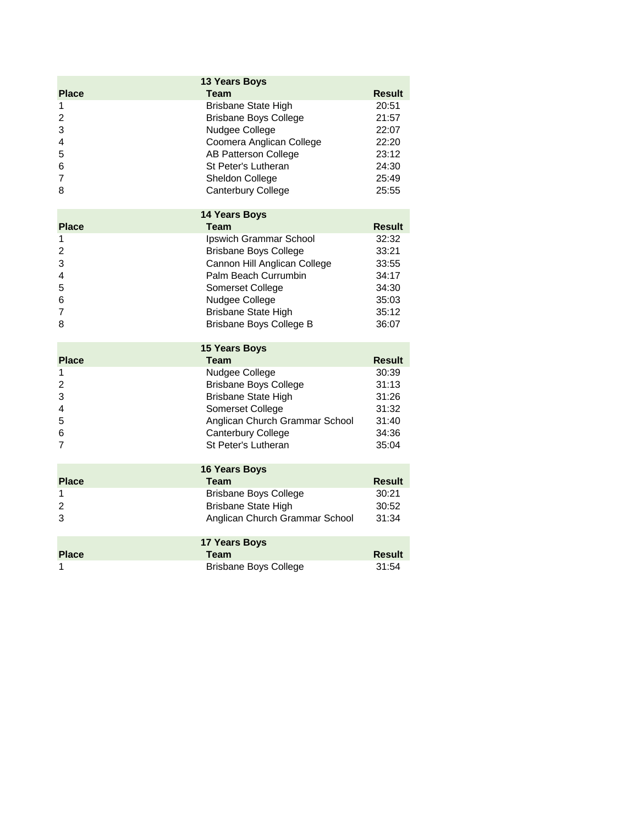|                   | <b>13 Years Boys</b>                 |                        |
|-------------------|--------------------------------------|------------------------|
| <b>Place</b>      | <b>Team</b>                          | <b>Result</b>          |
| 1                 | <b>Brisbane State High</b>           | 20:51                  |
| $\overline{c}$    | <b>Brisbane Boys College</b>         | 21:57                  |
| 3                 | Nudgee College                       | 22:07                  |
| 4                 | Coomera Anglican College             | 22:20                  |
| 5                 | <b>AB Patterson College</b>          | 23:12                  |
| 6                 | St Peter's Lutheran                  | 24:30                  |
| 7                 | Sheldon College                      | 25:49                  |
| 8                 | Canterbury College                   | 25:55                  |
|                   | <b>14 Years Boys</b>                 |                        |
| <b>Place</b>      | <b>Team</b>                          | <b>Result</b>          |
| 1                 | Ipswich Grammar School               | 32:32                  |
| $\overline{c}$    | <b>Brisbane Boys College</b>         | 33:21                  |
| 3                 | Cannon Hill Anglican College         | 33:55                  |
| 4                 | Palm Beach Currumbin                 | 34:17                  |
| 5                 | Somerset College                     | 34:30                  |
| 6                 | Nudgee College                       | 35:03                  |
| 7                 | <b>Brisbane State High</b>           | 35:12                  |
| 8                 | Brisbane Boys College B              | 36:07                  |
|                   | <b>15 Years Boys</b>                 |                        |
|                   |                                      |                        |
| <b>Place</b>      | <b>Team</b>                          | <b>Result</b>          |
| 1                 | Nudgee College                       | 30:39                  |
| 2                 | <b>Brisbane Boys College</b>         | 31:13                  |
| 3                 | <b>Brisbane State High</b>           | 31:26                  |
| 4                 | Somerset College                     | 31:32                  |
| 5                 | Anglican Church Grammar School       | 31:40                  |
| 6                 | <b>Canterbury College</b>            | 34:36                  |
| 7                 | St Peter's Lutheran                  | 35:04                  |
|                   | <b>16 Years Boys</b>                 |                        |
| <b>Place</b>      | <b>Team</b>                          | <b>Result</b>          |
| 1                 | <b>Brisbane Boys College</b>         | 30:21                  |
| $\overline{c}$    | <b>Brisbane State High</b>           | 30:52                  |
| 3                 | Anglican Church Grammar School       | 31:34                  |
|                   | 17 Years Boys                        |                        |
| <b>Place</b><br>1 | Team<br><b>Brisbane Boys College</b> | <b>Result</b><br>31:54 |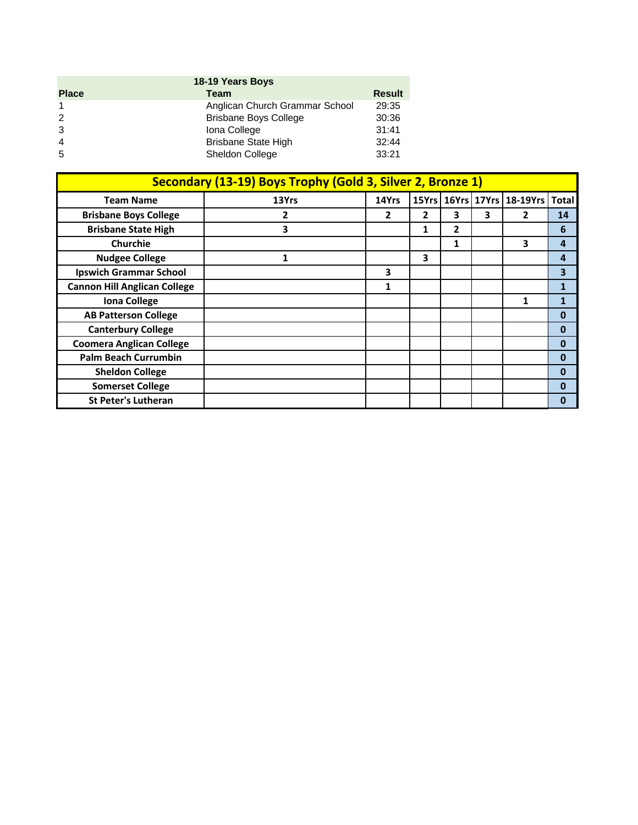| 18-19 Years Boys |                                |               |  |  |  |
|------------------|--------------------------------|---------------|--|--|--|
| <b>Place</b>     | Team                           | <b>Result</b> |  |  |  |
|                  | Anglican Church Grammar School | 29:35         |  |  |  |
| $\mathcal{P}$    | <b>Brisbane Boys College</b>   | 30:36         |  |  |  |
| 3                | Iona College                   | 31:41         |  |  |  |
| $\overline{4}$   | <b>Brisbane State High</b>     | 32:44         |  |  |  |
| -5               | Sheldon College                | 33:21         |  |  |  |

| Secondary (13-19) Boys Trophy (Gold 3, Silver 2, Bronze 1) |              |              |              |   |   |                                          |                         |
|------------------------------------------------------------|--------------|--------------|--------------|---|---|------------------------------------------|-------------------------|
| <b>Team Name</b>                                           | 13Yrs        | 14Yrs        |              |   |   | 15Yrs   16Yrs   17Yrs   18-19Yrs   Total |                         |
| <b>Brisbane Boys College</b>                               | 2            | $\mathbf{2}$ | $\mathbf{2}$ | 3 | 3 | 2                                        | 14                      |
| <b>Brisbane State High</b>                                 | 3            |              | 1            | 2 |   |                                          | 6                       |
| <b>Churchie</b>                                            |              |              |              | 1 |   | 3                                        | $\overline{a}$          |
| <b>Nudgee College</b>                                      | $\mathbf{1}$ |              | 3            |   |   |                                          | 4                       |
| <b>Ipswich Grammar School</b>                              |              | 3            |              |   |   |                                          | $\overline{\mathbf{3}}$ |
| <b>Cannon Hill Anglican College</b>                        |              | 1            |              |   |   |                                          | $\mathbf{1}$            |
| <b>Iona College</b>                                        |              |              |              |   |   | 1                                        | 1                       |
| <b>AB Patterson College</b>                                |              |              |              |   |   |                                          | 0                       |
| <b>Canterbury College</b>                                  |              |              |              |   |   |                                          | $\bf{0}$                |
| <b>Coomera Anglican College</b>                            |              |              |              |   |   |                                          | $\mathbf{0}$            |
| <b>Palm Beach Currumbin</b>                                |              |              |              |   |   |                                          | $\bf{0}$                |
| <b>Sheldon College</b>                                     |              |              |              |   |   |                                          | $\bf{0}$                |
| <b>Somerset College</b>                                    |              |              |              |   |   |                                          | 0                       |
| <b>St Peter's Lutheran</b>                                 |              |              |              |   |   |                                          | 0                       |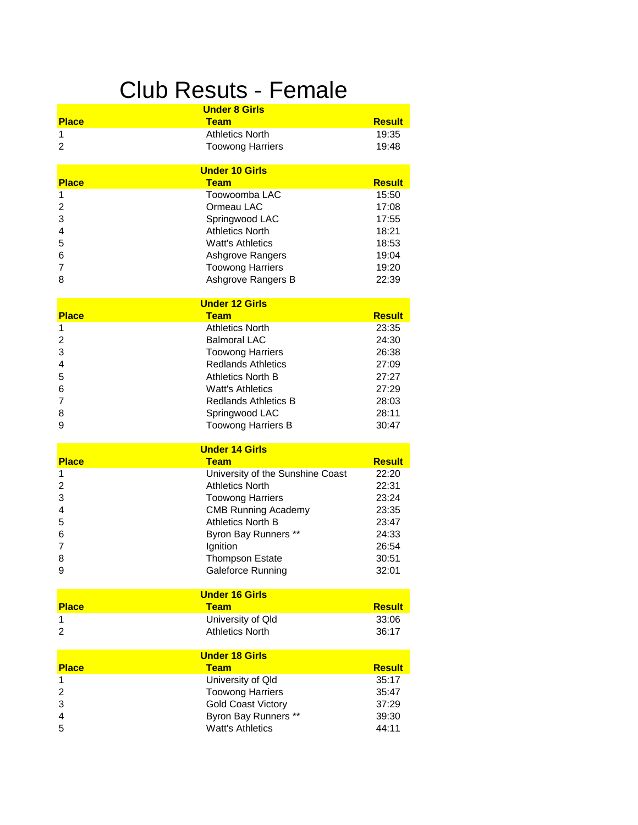#### **Under 8 Girls** Club Resuts - Female

| <b>Place</b>   | <b>Team</b>                          | <b>Result</b> |
|----------------|--------------------------------------|---------------|
| 1              | <b>Athletics North</b>               | 19:35         |
| $\overline{2}$ | <b>Toowong Harriers</b>              | 19:48         |
|                |                                      |               |
| <b>Place</b>   | <b>Under 10 Girls</b><br><b>Team</b> | <b>Result</b> |
| 1              | Toowoomba LAC                        | 15:50         |
| 2              | Ormeau LAC                           | 17:08         |
| 3              | Springwood LAC                       | 17:55         |
| 4              | <b>Athletics North</b>               | 18:21         |
| 5              | <b>Watt's Athletics</b>              | 18:53         |
| 6              | Ashgrove Rangers                     | 19:04         |
| 7              | <b>Toowong Harriers</b>              | 19:20         |
| 8              | Ashgrove Rangers B                   | 22:39         |
|                |                                      |               |
|                | <b>Under 12 Girls</b>                |               |
| <b>Place</b>   | Team                                 | <b>Result</b> |
| 1              | <b>Athletics North</b>               | 23:35         |
| 2              | <b>Balmoral LAC</b>                  | 24:30         |
| 3              | <b>Toowong Harriers</b>              | 26:38         |
| 4              | <b>Redlands Athletics</b>            | 27:09         |
| 5              | <b>Athletics North B</b>             | 27:27         |
| 6              | <b>Watt's Athletics</b>              | 27:29         |
| 7              | <b>Redlands Athletics B</b>          | 28:03         |
| 8              | Springwood LAC                       | 28:11         |
| 9              | <b>Toowong Harriers B</b>            | 30:47         |
|                | <b>Under 14 Girls</b>                |               |
| <b>Place</b>   | Team                                 | <b>Result</b> |
| 1              | University of the Sunshine Coast     | 22:20         |
| 2              | <b>Athletics North</b>               | 22:31         |
| 3              | <b>Toowong Harriers</b>              | 23:24         |
| 4              | <b>CMB Running Academy</b>           | 23:35         |
| 5              | <b>Athletics North B</b>             | 23:47         |
| 6              | Byron Bay Runners **                 | 24:33         |
| 7              | Ignition                             | 26:54         |
| 8              | <b>Thompson Estate</b>               | 30:51         |
| 9              | Galeforce Running                    | 32:01         |
|                | <b>Under 16 Girls</b>                |               |
| <b>Place</b>   | <b>Team</b>                          | <b>Result</b> |
| 1              | University of Qld                    | 33:06         |
| 2              | <b>Athletics North</b>               | 36:17         |
|                | <b>Under 18 Girls</b>                |               |
| <b>Place</b>   | <b>Team</b>                          | <b>Result</b> |
| 1              | University of Qld                    | 35:17         |
| 2              | <b>Toowong Harriers</b>              | 35:47         |
| 3              | <b>Gold Coast Victory</b>            | 37:29         |
| 4              | Byron Bay Runners **                 | 39:30         |
| 5              | <b>Watt's Athletics</b>              | 44:11         |
|                |                                      |               |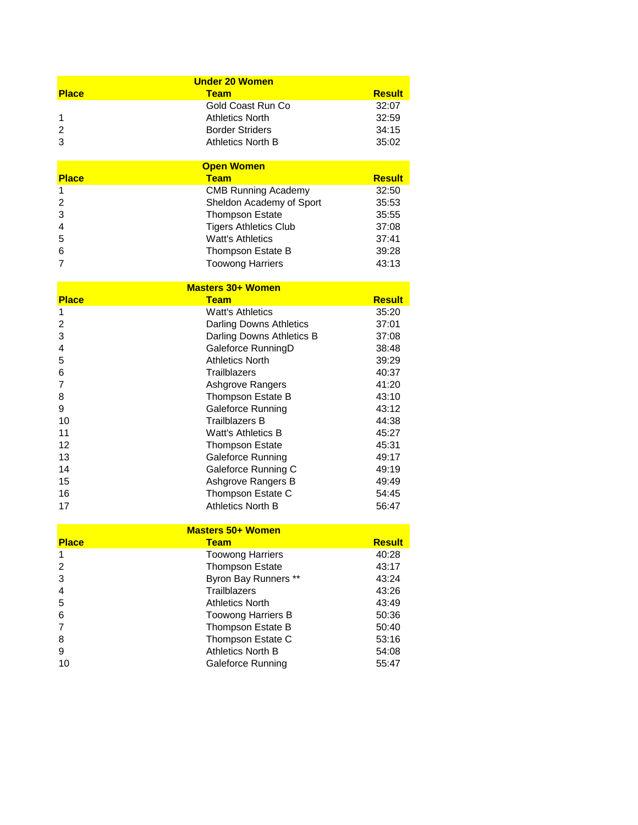|                          | <b>Under 20 Women</b>          |               |  |
|--------------------------|--------------------------------|---------------|--|
| <b>Place</b>             | <b>Team</b>                    | <b>Result</b> |  |
|                          | Gold Coast Run Co              | 32:07         |  |
| 1                        | <b>Athletics North</b>         | 32:59         |  |
| 2                        | <b>Border Striders</b>         | 34:15         |  |
| 3                        | <b>Athletics North B</b>       | 35:02         |  |
|                          | <b>Open Women</b>              |               |  |
| <b>Place</b>             | <b>Team</b>                    | <b>Result</b> |  |
| 1                        | <b>CMB Running Academy</b>     | 32:50         |  |
| 2                        | Sheldon Academy of Sport       | 35:53         |  |
| 3                        | <b>Thompson Estate</b>         | 35:55         |  |
| 4                        | <b>Tigers Athletics Club</b>   | 37:08         |  |
| 5                        | <b>Watt's Athletics</b>        | 37:41         |  |
| 6                        | Thompson Estate B              | 39:28         |  |
| 7                        | <b>Toowong Harriers</b>        | 43:13         |  |
|                          | <b>Masters 30+ Women</b>       |               |  |
| <b>Place</b>             | <b>Team</b>                    | <b>Result</b> |  |
| 1                        | <b>Watt's Athletics</b>        | 35:20         |  |
| 2                        | <b>Darling Downs Athletics</b> | 37:01         |  |
| 3                        | Darling Downs Athletics B      | 37:08         |  |
| 4                        | Galeforce RunningD             | 38:48         |  |
| 5                        | <b>Athletics North</b>         | 39:29         |  |
| 6                        | <b>Trailblazers</b>            | 40:37         |  |
| 7                        | Ashgrove Rangers               | 41:20         |  |
| 8                        | Thompson Estate B              | 43:10         |  |
| 9                        | <b>Galeforce Running</b>       | 43:12         |  |
| 10                       | <b>Trailblazers B</b>          | 44:38         |  |
| 11                       | <b>Watt's Athletics B</b>      | 45:27         |  |
| 12                       | <b>Thompson Estate</b>         | 45:31         |  |
| 13                       | Galeforce Running              | 49:17         |  |
| 14                       | Galeforce Running C            | 49:19         |  |
| 15                       | Ashgrove Rangers B             | 49:49         |  |
| 16                       | Thompson Estate C              | 54:45         |  |
| 17                       | <b>Athletics North B</b>       | 56:47         |  |
|                          |                                |               |  |
| <b>Masters 50+ Women</b> |                                |               |  |
| <b>Place</b>             | <b>Team</b>                    | <b>Result</b> |  |
| 1                        | <b>Toowong Harriers</b>        | 40:28         |  |
| 2                        | <b>Thompson Estate</b>         | 43:17         |  |
| 3                        | Byron Bay Runners **           | 43:24         |  |
| 4                        | <b>Trailblazers</b>            | 43:26         |  |
| 5                        | <b>Athletics North</b>         | 43:49         |  |

|    | AUTICIUS NUITI            | 40.49 |
|----|---------------------------|-------|
| 6  | <b>Toowong Harriers B</b> | 50:36 |
|    | Thompson Estate B         | 50:40 |
|    | Thompson Estate C         | 53:16 |
| 9  | Athletics North B         | 54:08 |
| 10 | Galeforce Running         | 55:47 |
|    |                           |       |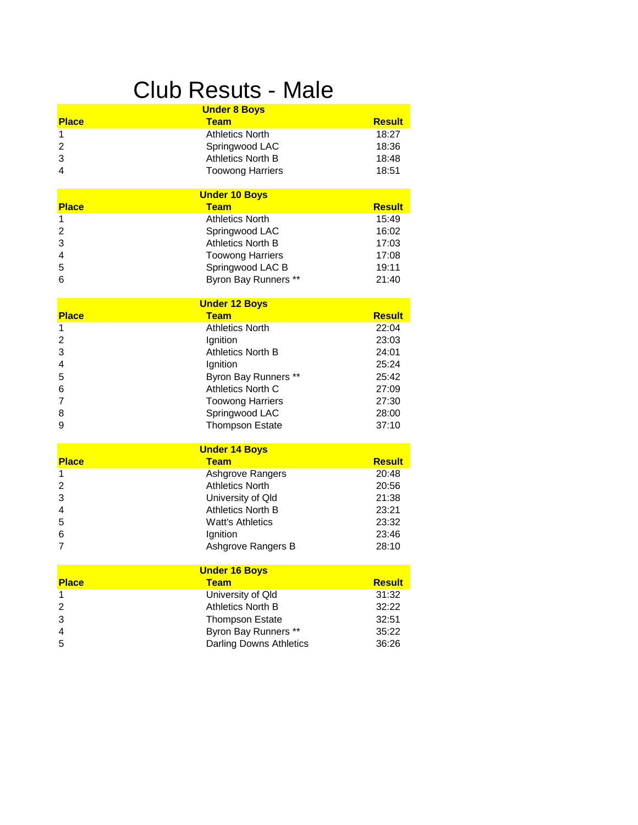# Club Resuts - Male

|                | <b>Under 8 Boys</b>      |               |
|----------------|--------------------------|---------------|
| <b>Place</b>   | <b>Team</b>              | <b>Result</b> |
| 1              | <b>Athletics North</b>   | 18:27         |
| 2              | Springwood LAC           | 18:36         |
| 3              | <b>Athletics North B</b> | 18:48         |
| 4              | <b>Toowong Harriers</b>  | 18:51         |
|                | <b>Under 10 Boys</b>     |               |
| <b>Place</b>   | <b>Team</b>              | <b>Result</b> |
| 1              | <b>Athletics North</b>   | 15:49         |
| $\overline{c}$ | Springwood LAC           | 16:02         |
| 3              | <b>Athletics North B</b> | 17:03         |
| 4              | <b>Toowong Harriers</b>  | 17:08         |
| 5              | Springwood LAC B         | 19:11         |
| 6              | Byron Bay Runners **     | 21:40         |
|                | <b>Under 12 Boys</b>     |               |
| <b>Place</b>   | <b>Team</b>              | <b>Result</b> |
| 1              | <b>Athletics North</b>   | 22:04         |
| 2              | Ignition                 | 23:03         |
| 3              | <b>Athletics North B</b> | 24:01         |
| 4              | Ignition                 | 25:24         |
| 5              | Byron Bay Runners **     | 25:42         |
| 6              | Athletics North C        | 27:09         |
| 7              | <b>Toowong Harriers</b>  | 27:30         |
| 8              | Springwood LAC           | 28:00         |
| 9              | <b>Thompson Estate</b>   | 37:10         |
|                | <b>Under 14 Boys</b>     |               |
| <b>Place</b>   | <b>Team</b>              | <b>Result</b> |
| 1              | Ashgrove Rangers         | 20:48         |
| 2              | <b>Athletics North</b>   | 20:56         |
| 3              | University of Qld        | 21:38         |
| 4              | <b>Athletics North B</b> | 23:21         |
| 5              | <b>Watt's Athletics</b>  | 23:32         |
| 6              | Ignition                 | 23:46         |
| 7              | Ashgrove Rangers B       | 28:10         |
|                | <b>Under 16 Boys</b>     |               |
| <b>Place</b>   | <b>Team</b>              | <b>Result</b> |
| 1              | University of Qld        | 31:32         |
| 2              | <b>Athletics North B</b> | 32:22         |
| 3              | <b>Thompson Estate</b>   | 32:51         |
| 4              | Byron Bay Runners **     | 35:22         |
| 5              | Darling Downs Athletics  | 36:26         |